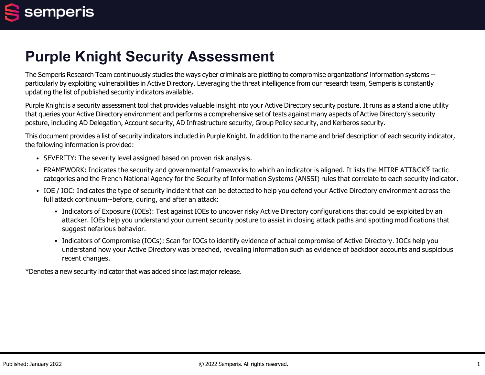# **Purple Knight Security Assessment**

The Semperis Research Team continuously studies the ways cyber criminals are plotting to compromise organizations' information systems - particularly by exploiting vulnerabilities in Active Directory. Leveraging the threat intelligence from our research team, Semperis is constantly updating the list of published security indicators available.

Purple Knight is a security assessment tool that provides valuable insight into your Active Directory security posture. It runs as a stand alone utility that queries your Active Directory environment and performs a comprehensive set of tests against many aspects of Active Directory's security posture, including AD Delegation, Account security, AD Infrastructure security, Group Policy security, and Kerberos security.

This document provides a list of security indicators included in Purple Knight. In addition to the name and brief description of each security indicator, the following information is provided:

- SEVERITY: The severity level assigned based on proven risk analysis.
- FRAMEWORK: Indicates the security and governmental frameworks to which an indicator is aligned. It lists the MITRE ATT&CK<sup>®</sup> tactic categories and the French National Agency for the Security of Information Systems (ANSSI) rules that correlate to each security indicator.
- IOE / IOC: Indicates the type of security incident that can be detected to help you defend your Active Directory environment across the full attack continuum--before, during, and after an attack:
	- Indicators of Exposure (IOEs): Test against IOEs to uncover risky Active Directory configurations that could be exploited by an attacker. IOEs help you understand your current security posture to assist in closing attack paths and spotting modifications that suggest nefarious behavior.
	- Indicators of Compromise (IOCs): Scan for IOCs to identify evidence of actual compromise of Active Directory. IOCs help you understand how your Active Directory was breached, revealing information such as evidence of backdoor accounts and suspicious recent changes.

\*Denotes a new security indicator that was added since last major release.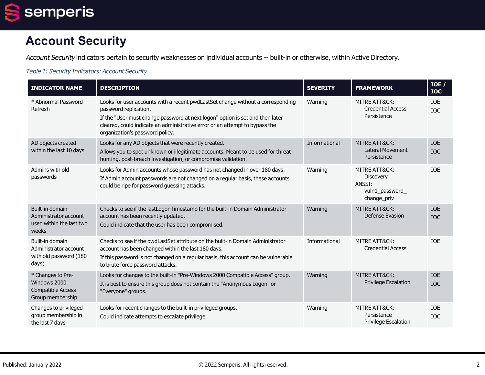

# **Account Security**

Account Security indicators pertain to security weaknesses on individual accounts -- built-in or otherwise, within Active Directory.

Table 1: Security Indicators: Account Security

| <b>INDICATOR NAME</b>                                                             | <b>DESCRIPTION</b>                                                                                                                                                                                                                                                                                          | <b>SEVERITY</b> | <b>FRAMEWORK</b>                                                       | IOE /<br><b>IOC</b>      |
|-----------------------------------------------------------------------------------|-------------------------------------------------------------------------------------------------------------------------------------------------------------------------------------------------------------------------------------------------------------------------------------------------------------|-----------------|------------------------------------------------------------------------|--------------------------|
| * Abnormal Password<br>Refresh                                                    | Looks for user accounts with a recent pwdLastSet change without a corresponding<br>password replication.<br>If the "User must change password at next logon" option is set and then later<br>cleared, could indicate an administrative error or an attempt to bypass the<br>organization's password policy. | Warning         | MITRE ATT&CK:<br><b>Credential Access</b><br>Persistence               | IOE<br><b>IOC</b>        |
| AD objects created<br>within the last 10 days                                     | Looks for any AD objects that were recently created.<br>Allows you to spot unknown or illegitimate accounts. Meant to be used for threat<br>hunting, post-breach investigation, or compromise validation.                                                                                                   | Informational   | <b>MITRE ATT&amp;CK:</b><br><b>Lateral Movement</b><br>Persistence     | <b>IOE</b><br><b>IOC</b> |
| Admins with old<br>passwords                                                      | Looks for Admin accounts whose password has not changed in over 180 days.<br>If Admin account passwords are not changed on a regular basis, these accounts<br>could be ripe for password guessing attacks.                                                                                                  | Warning         | MITRE ATT&CK:<br>Discovery<br>ANSSI:<br>vuln1_password_<br>change_priv | <b>TOF</b>               |
| Built-in domain<br>Administrator account<br>used within the last two<br>weeks     | Checks to see if the lastLogonTimestamp for the built-in Domain Administrator<br>account has been recently updated.<br>Could indicate that the user has been compromised.                                                                                                                                   | Warning         | <b>MITRE ATT&amp;CK:</b><br>Defense Evasion                            | <b>IOE</b><br><b>IOC</b> |
| Built-in domain<br>Administrator account<br>with old password (180<br>days)       | Checks to see if the pwdLastSet attribute on the built-in Domain Administrator<br>account has been changed within the last 180 days.<br>If this password is not changed on a regular basis, this account can be vulnerable<br>to brute force password attacks.                                              | Informational   | MITRE ATT&CK:<br><b>Credential Access</b>                              | <b>TOF</b>               |
| * Changes to Pre-<br>Windows 2000<br><b>Compatible Access</b><br>Group membership | Looks for changes to the built-in "Pre-Windows 2000 Compatible Access" group.<br>It is best to ensure this group does not contain the "Anonymous Logon" or<br>"Everyone" groups.                                                                                                                            | Warning         | MITRE ATT&CK:<br><b>Privilege Escalation</b>                           | <b>IOE</b><br><b>IOC</b> |
| Changes to privileged<br>group membership in<br>the last 7 days                   | Looks for recent changes to the built-in privileged groups.<br>Could indicate attempts to escalate privilege.                                                                                                                                                                                               | Warning         | MITRE ATT&CK:<br>Persistence<br>Privilege Escalation                   | <b>IOE</b><br><b>IOC</b> |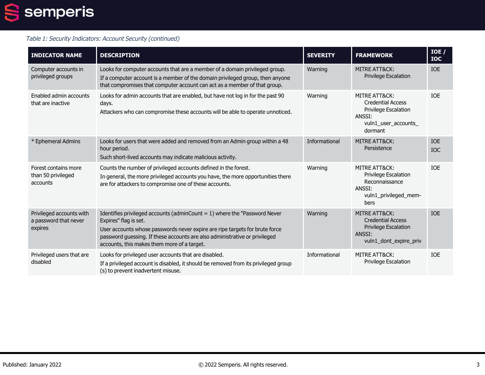

| <b>INDICATOR NAME</b>                                        | <b>DESCRIPTION</b>                                                                                                                                                                                                                                                                                                | <b>SEVERITY</b> | <b>FRAMEWORK</b>                                                                                                                 | $IOE$ /<br><b>IOC</b>    |
|--------------------------------------------------------------|-------------------------------------------------------------------------------------------------------------------------------------------------------------------------------------------------------------------------------------------------------------------------------------------------------------------|-----------------|----------------------------------------------------------------------------------------------------------------------------------|--------------------------|
| Computer accounts in<br>privileged groups                    | Looks for computer accounts that are a member of a domain privileged group.<br>If a computer account is a member of the domain privileged group, then anyone<br>that compromises that computer account can act as a member of that group.                                                                         | Warning         | <b>MITRE ATT&amp;CK:</b><br><b>Privilege Escalation</b>                                                                          | <b>IOE</b>               |
| Enabled admin accounts<br>that are inactive                  | Looks for admin accounts that are enabled, but have not log in for the past 90<br>days.<br>Attackers who can compromise these accounts will be able to operate unnoticed.                                                                                                                                         | Warning         | <b>MITRE ATT&amp;CK:</b><br><b>Credential Access</b><br><b>Privilege Escalation</b><br>ANSSI:<br>vuln1_user_accounts_<br>dormant | <b>IOE</b>               |
| * Ephemeral Admins                                           | Looks for users that were added and removed from an Admin group within a 48<br>hour period.<br>Such short-lived accounts may indicate malicious activity.                                                                                                                                                         | Informational   | <b>MITRE ATT&amp;CK:</b><br>Persistence                                                                                          | <b>IOE</b><br><b>IOC</b> |
| Forest contains more<br>than 50 privileged<br>accounts       | Counts the number of privileged accounts defined in the forest.<br>In general, the more privileged accounts you have, the more opportunities there<br>are for attackers to compromise one of these accounts.                                                                                                      | Warning         | <b>MITRE ATT&amp;CK:</b><br>Privilege Escalation<br>Reconnaissance<br>ANSSI:<br>vuln1_privileged_mem-<br>bers                    | <b>IOE</b>               |
| Privileged accounts with<br>a password that never<br>expires | Identifies privileged accounts (adminCount = $1$ ) where the "Password Never<br>Expires" flag is set.<br>User accounts whose passwords never expire are ripe targets for brute force<br>password guessing. If these accounts are also administrative or privileged<br>accounts, this makes them more of a target. | Warning         | <b>MITRE ATT&amp;CK:</b><br><b>Credential Access</b><br>Privilege Escalation<br>ANSSI:<br>vuln1_dont_expire_priv                 | <b>IOE</b>               |
| Privileged users that are<br>disabled                        | Looks for privileged user accounts that are disabled.<br>If a privileged account is disabled, it should be removed from its privileged group<br>(s) to prevent inadvertent misuse.                                                                                                                                | Informational   | MITRE ATT&CK:<br>Privilege Escalation                                                                                            | <b>IOE</b>               |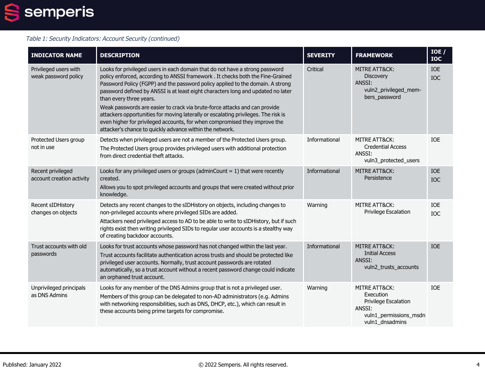

| <b>INDICATOR NAME</b>                          | <b>DESCRIPTION</b>                                                                                                                                                                                                                                                                                                                                                                                                                                                                                                                                                                                                                                                            | <b>SEVERITY</b> | <b>FRAMEWORK</b>                                                                                          | IOE /<br><b>IOC</b>      |
|------------------------------------------------|-------------------------------------------------------------------------------------------------------------------------------------------------------------------------------------------------------------------------------------------------------------------------------------------------------------------------------------------------------------------------------------------------------------------------------------------------------------------------------------------------------------------------------------------------------------------------------------------------------------------------------------------------------------------------------|-----------------|-----------------------------------------------------------------------------------------------------------|--------------------------|
| Privileged users with<br>weak password policy  | Looks for privileged users in each domain that do not have a strong password<br>policy enforced, according to ANSSI framework. It checks both the Fine-Grained<br>Password Policy (FGPP) and the password policy applied to the domain. A strong<br>password defined by ANSSI is at least eight characters long and updated no later<br>than every three years.<br>Weak passwords are easier to crack via brute-force attacks and can provide<br>attackers opportunities for moving laterally or escalating privileges. The risk is<br>even higher for privileged accounts, for when compromised they improve the<br>attacker's chance to quickly advance within the network. | Critical        | <b>MITRE ATT&amp;CK:</b><br><b>Discovery</b><br>ANSSI:<br>vuln2_privileged_mem-<br>bers_password          | IOE<br>IOC               |
| Protected Users group<br>not in use            | Detects when privileged users are not a member of the Protected Users group.<br>The Protected Users group provides privileged users with additional protection<br>from direct credential theft attacks.                                                                                                                                                                                                                                                                                                                                                                                                                                                                       | Informational   | MITRE ATT&CK:<br><b>Credential Access</b><br>ANSSI:<br>vuln3_protected_users                              | <b>IOE</b>               |
| Recent privileged<br>account creation activity | Looks for any privileged users or groups (adminCount $= 1$ ) that were recently<br>created.<br>Allows you to spot privileged accounts and groups that were created without prior<br>knowledge.                                                                                                                                                                                                                                                                                                                                                                                                                                                                                | Informational   | <b>MITRE ATT&amp;CK:</b><br>Persistence                                                                   | <b>IOE</b><br><b>IOC</b> |
| Recent sIDHistory<br>changes on objects        | Detects any recent changes to the sIDHistory on objects, including changes to<br>non-privileged accounts where privileged SIDs are added.<br>Attackers need privileged access to AD to be able to write to sIDHistory, but if such<br>rights exist then writing privileged SIDs to regular user accounts is a stealthy way<br>of creating backdoor accounts.                                                                                                                                                                                                                                                                                                                  | Warning         | MITRE ATT&CK:<br><b>Privilege Escalation</b>                                                              | IOE<br><b>IOC</b>        |
| Trust accounts with old<br>passwords           | Looks for trust accounts whose password has not changed within the last year.<br>Trust accounts facilitate authentication across trusts and should be protected like<br>privileged user accounts. Normally, trust account passwords are rotated<br>automatically, so a trust account without a recent password change could indicate<br>an orphaned trust account.                                                                                                                                                                                                                                                                                                            | Informational   | <b>MITRE ATT&amp;CK:</b><br><b>Initial Access</b><br>ANSSI:<br>vuln2_trusts_accounts                      | <b>IOE</b>               |
| Unprivileged principals<br>as DNS Admins       | Looks for any member of the DNS Admins group that is not a privileged user.<br>Members of this group can be delegated to non-AD administrators (e.g. Admins<br>with networking responsibilities, such as DNS, DHCP, etc.), which can result in<br>these accounts being prime targets for compromise.                                                                                                                                                                                                                                                                                                                                                                          | Warning         | MITRE ATT&CK:<br>Execution<br>Privilege Escalation<br>ANSSI:<br>vuln1_permissions_msdn<br>vuln1_dnsadmins | <b>IOE</b>               |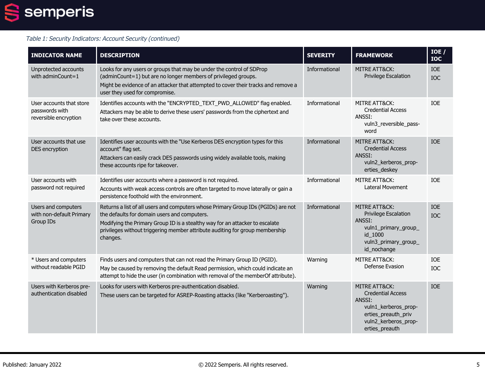

| <b>INDICATOR NAME</b>                                               | <b>DESCRIPTION</b>                                                                                                                                                                                                                                                                                            | <b>SEVERITY</b> | <b>FRAMEWORK</b>                                                                                                                                        | IOE /<br><b>IOC</b> |
|---------------------------------------------------------------------|---------------------------------------------------------------------------------------------------------------------------------------------------------------------------------------------------------------------------------------------------------------------------------------------------------------|-----------------|---------------------------------------------------------------------------------------------------------------------------------------------------------|---------------------|
| Unprotected accounts<br>with adminCount=1                           | Looks for any users or groups that may be under the control of SDProp<br>(adminCount=1) but are no longer members of privileged groups.<br>Might be evidence of an attacker that attempted to cover their tracks and remove a<br>user they used for compromise.                                               | Informational   | <b>MITRE ATT&amp;CK:</b><br><b>Privilege Escalation</b>                                                                                                 | <b>IOE</b><br>IOC   |
| User accounts that store<br>passwords with<br>reversible encryption | Identifies accounts with the "ENCRYPTED_TEXT_PWD_ALLOWED" flag enabled.<br>Attackers may be able to derive these users' passwords from the ciphertext and<br>take over these accounts.                                                                                                                        | Informational   | MITRE ATT&CK:<br><b>Credential Access</b><br>ANSSI:<br>vuln3_reversible_pass-<br>word                                                                   | <b>TOF</b>          |
| User accounts that use<br>DES encryption                            | Identifies user accounts with the "Use Kerberos DES encryption types for this<br>account" flag set.<br>Attackers can easily crack DES passwords using widely available tools, making<br>these accounts ripe for takeover.                                                                                     | Informational   | <b>MITRE ATT&amp;CK:</b><br><b>Credential Access</b><br>ANSSI:<br>vuln2 kerberos prop-<br>erties_deskey                                                 | <b>TOE</b>          |
| User accounts with<br>password not required                         | Identifies user accounts where a password is not required.<br>Accounts with weak access controls are often targeted to move laterally or gain a<br>persistence foothold with the environment.                                                                                                                 | Informational   | MITRE ATT&CK:<br><b>Lateral Movement</b>                                                                                                                | <b>IOE</b>          |
| Users and computers<br>with non-default Primary<br><b>Group IDs</b> | Returns a list of all users and computers whose Primary Group IDs (PGIDs) are not<br>the defaults for domain users and computers.<br>Modifying the Primary Group ID is a stealthy way for an attacker to escalate<br>privileges without triggering member attribute auditing for group membership<br>changes. | Informational   | <b>MITRE ATT&amp;CK:</b><br>Privilege Escalation<br>ANSSI:<br>vuln1_primary_group_<br>id_1000<br>vuln3_primary_group_<br>id_nochange                    | IOE<br>IOC          |
| * Users and computers<br>without readable PGID                      | Finds users and computers that can not read the Primary Group ID (PGID).<br>May be caused by removing the default Read permission, which could indicate an<br>attempt to hide the user (in combination with removal of the memberOf attribute).                                                               | Warning         | <b>MITRE ATT&amp;CK:</b><br>Defense Evasion                                                                                                             | <b>IOE</b><br>IOC   |
| Users with Kerberos pre-<br>authentication disabled                 | Looks for users with Kerberos pre-authentication disabled.<br>These users can be targeted for ASREP-Roasting attacks (like "Kerberoasting").                                                                                                                                                                  | Warning         | <b>MITRE ATT&amp;CK:</b><br><b>Credential Access</b><br>ANSSI:<br>vuln1_kerberos_prop-<br>erties preauth priv<br>vuln2_kerberos_prop-<br>erties_preauth | <b>IOE</b>          |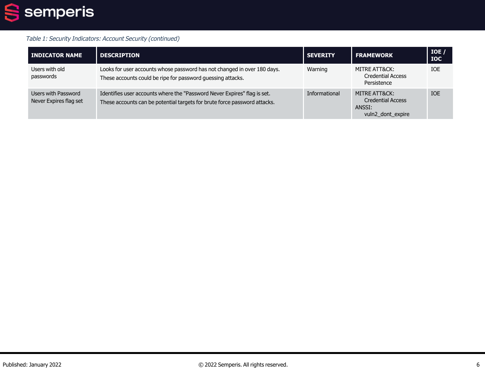

| <b>INDICATOR NAME</b>                         | <b>DESCRIPTION</b>                                                                                                                                    | <b>SEVERITY</b> | <b>FRAMEWORK</b>                                                         | IOE /<br><b>IOC</b> |
|-----------------------------------------------|-------------------------------------------------------------------------------------------------------------------------------------------------------|-----------------|--------------------------------------------------------------------------|---------------------|
| Users with old<br>passwords                   | Looks for user accounts whose password has not changed in over 180 days.<br>These accounts could be ripe for password guessing attacks.               | Warning         | MITRE ATT&CK:<br><b>Credential Access</b><br>Persistence                 | <b>IOE</b>          |
| Users with Password<br>Never Expires flag set | Identifies user accounts where the "Password Never Expires" flag is set.<br>These accounts can be potential targets for brute force password attacks. | Informational   | MITRE ATT&CK:<br><b>Credential Access</b><br>ANSSI:<br>vuln2_dont_expire | <b>IOE</b>          |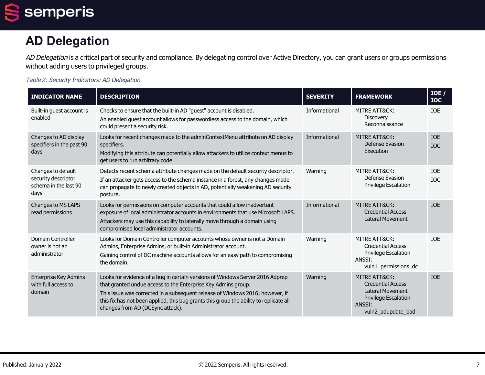semperis  $\blacksquare$ 

# **AD Delegation**

AD Delegation is a critical part of security and compliance. By delegating control over Active Directory, you can grant users or groups permissions without adding users to privileged groups.

Table 2: Security Indicators: AD Delegation

| <b>INDICATOR NAME</b>                                                      | <b>DESCRIPTION</b>                                                                                                                                                                                                                                                                                                                                            | <b>SEVERITY</b> | <b>FRAMEWORK</b>                                                                                                             | IOE /<br><b>IOC</b>      |
|----------------------------------------------------------------------------|---------------------------------------------------------------------------------------------------------------------------------------------------------------------------------------------------------------------------------------------------------------------------------------------------------------------------------------------------------------|-----------------|------------------------------------------------------------------------------------------------------------------------------|--------------------------|
| Built-in guest account is<br>enabled                                       | Checks to ensure that the built-in AD "quest" account is disabled.<br>An enabled guest account allows for passwordless access to the domain, which<br>could present a security risk.                                                                                                                                                                          | Informational   | MITRE ATT&CK:<br>Discovery<br>Reconnaissance                                                                                 | <b>IOE</b>               |
| Changes to AD display<br>specifiers in the past 90<br>days                 | Looks for recent changes made to the adminContextMenu attribute on AD display<br>specifiers.<br>Modifying this attribute can potentially allow attackers to utilize context menus to<br>get users to run arbitrary code.                                                                                                                                      | Informational   | MITRE ATT&CK:<br>Defense Evasion<br>Execution                                                                                | <b>IOE</b><br><b>IOC</b> |
| Changes to default<br>security descriptor<br>schema in the last 90<br>days | Detects recent schema attribute changes made on the default security descriptor.<br>If an attacker gets access to the schema instance in a forest, any changes made<br>can propagate to newly created objects in AD, potentially weakening AD security<br>posture.                                                                                            | Warning         | MITRE ATT&CK:<br>Defense Evasion<br><b>Privilege Escalation</b>                                                              | <b>IOE</b><br><b>IOC</b> |
| <b>Changes to MS LAPS</b><br>read permissions                              | Looks for permissions on computer accounts that could allow inadvertent<br>exposure of local administrator accounts in environments that use Microsoft LAPS.<br>Attackers may use this capability to laterally move through a domain using<br>compromised local administrator accounts.                                                                       | Informational   | MITRE ATT&CK:<br><b>Credential Access</b><br><b>Lateral Movement</b>                                                         | <b>IOE</b>               |
| Domain Controller<br>owner is not an<br>administrator                      | Looks for Domain Controller computer accounts whose owner is not a Domain<br>Admins, Enterprise Admins, or built-in Administrator account.<br>Gaining control of DC machine accounts allows for an easy path to compromising<br>the domain.                                                                                                                   | Warning         | MITRE ATT&CK:<br><b>Credential Access</b><br>Privilege Escalation<br>ANSSI:<br>vuln1_permissions_dc                          | <b>TOF</b>               |
| <b>Enterprise Key Admins</b><br>with full access to<br>domain              | Looks for evidence of a bug in certain versions of Windows Server 2016 Adprep<br>that granted undue access to the Enterprise Key Admins group.<br>This issue was corrected in a subsequent release of Windows 2016; however, if<br>this fix has not been applied, this bug grants this group the ability to replicate all<br>changes from AD (DCSync attack). | Warning         | MITRE ATT&CK:<br><b>Credential Access</b><br><b>Lateral Movement</b><br>Privilege Escalation<br>ANSSI:<br>vuln2_adupdate_bad | <b>IOE</b>               |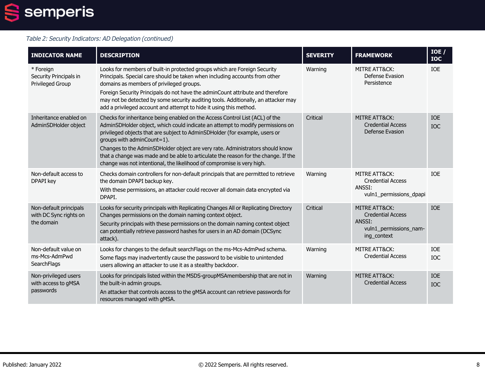

#### Table 2: Security Indicators: AD Delegation (continued)

| <b>INDICATOR NAME</b>                                          | <b>DESCRIPTION</b>                                                                                                                                                                                                                                                                                                                                                                                                                                                                                                           | <b>SEVERITY</b> | <b>FRAMEWORK</b>                                                                                        | IOE /<br><b>IOC</b>      |
|----------------------------------------------------------------|------------------------------------------------------------------------------------------------------------------------------------------------------------------------------------------------------------------------------------------------------------------------------------------------------------------------------------------------------------------------------------------------------------------------------------------------------------------------------------------------------------------------------|-----------------|---------------------------------------------------------------------------------------------------------|--------------------------|
| * Foreign<br>Security Principals in<br><b>Privileged Group</b> | Looks for members of built-in protected groups which are Foreign Security<br>Principals. Special care should be taken when including accounts from other<br>domains as members of privileged groups.<br>Foreign Security Principals do not have the adminCount attribute and therefore<br>may not be detected by some security auditing tools. Additionally, an attacker may<br>add a privileged account and attempt to hide it using this method.                                                                           | Warning         | <b>MITRE ATT&amp;CK:</b><br>Defense Evasion<br>Persistence                                              | <b>IOE</b>               |
| Inheritance enabled on<br>AdminSDHolder object                 | Checks for inheritance being enabled on the Access Control List (ACL) of the<br>AdminSDHolder object, which could indicate an attempt to modify permissions on<br>privileged objects that are subject to AdminSDHolder (for example, users or<br>groups with adminCount=1).<br>Changes to the AdminSDHolder object are very rate. Administrators should know<br>that a change was made and be able to articulate the reason for the change. If the<br>change was not intentional, the likelihood of compromise is very high. | Critical        | MITRE ATT&CK:<br><b>Credential Access</b><br>Defense Evasion                                            | <b>IOE</b><br><b>IOC</b> |
| Non-default access to<br>DPAPI key                             | Checks domain controllers for non-default principals that are permitted to retrieve<br>the domain DPAPI backup key.<br>With these permissions, an attacker could recover all domain data encrypted via<br>DPAPI.                                                                                                                                                                                                                                                                                                             | Warning         | <b>MITRE ATT&amp;CK:</b><br><b>Credential Access</b><br>ANSSI:<br>vuln1_permissions_dpapi               | <b>IOE</b>               |
| Non-default principals<br>with DC Sync rights on<br>the domain | Looks for security principals with Replicating Changes All or Replicating Directory<br>Changes permissions on the domain naming context object.<br>Security principals with these permissions on the domain naming context object<br>can potentially retrieve password hashes for users in an AD domain (DCSync<br>attack).                                                                                                                                                                                                  | Critical        | <b>MITRE ATT&amp;CK:</b><br><b>Credential Access</b><br>ANSST:<br>vuln1_permissions_nam-<br>ing_context | <b>IOE</b>               |
| Non-default value on<br>ms-Mcs-AdmPwd<br>SearchFlags           | Looks for changes to the default searchFlags on the ms-Mcs-AdmPwd schema.<br>Some flags may inadvertently cause the password to be visible to unintended<br>users allowing an attacker to use it as a stealthy backdoor.                                                                                                                                                                                                                                                                                                     | Warning         | MITRE ATT&CK:<br><b>Credential Access</b>                                                               | <b>IOE</b><br>IOC        |
| Non-privileged users<br>with access to gMSA<br>passwords       | Looks for principals listed within the MSDS-groupMSAmembership that are not in<br>the built-in admin groups.<br>An attacker that controls access to the gMSA account can retrieve passwords for<br>resources managed with gMSA.                                                                                                                                                                                                                                                                                              | Warning         | MITRE ATT&CK:<br><b>Credential Access</b>                                                               | <b>IOE</b><br><b>IOC</b> |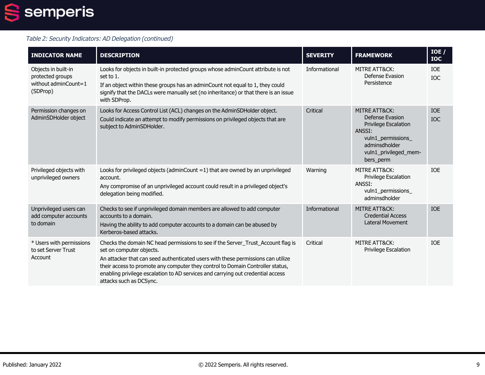## 2 semperis

#### Table 2: Security Indicators: AD Delegation (continued)

| <b>INDICATOR NAME</b>                                                       | <b>DESCRIPTION</b>                                                                                                                                                                                                                                                                                                                                                                               | <b>SEVERITY</b> | <b>FRAMEWORK</b>                                                                                                                                           | IOE /<br><b>IOC</b> |
|-----------------------------------------------------------------------------|--------------------------------------------------------------------------------------------------------------------------------------------------------------------------------------------------------------------------------------------------------------------------------------------------------------------------------------------------------------------------------------------------|-----------------|------------------------------------------------------------------------------------------------------------------------------------------------------------|---------------------|
| Objects in built-in<br>protected groups<br>without adminCount=1<br>(SDProp) | Looks for objects in built-in protected groups whose adminCount attribute is not<br>set to 1.<br>If an object within these groups has an adminCount not equal to 1, they could<br>signify that the DACLs were manually set (no inheritance) or that there is an issue<br>with SDProp.                                                                                                            | Informational   | <b>MITRE ATT&amp;CK:</b><br>Defense Evasion<br>Persistence                                                                                                 | IOE<br><b>IOC</b>   |
| Permission changes on<br>AdminSDHolder object                               | Looks for Access Control List (ACL) changes on the AdminSDHolder object.<br>Could indicate an attempt to modify permissions on privileged objects that are<br>subject to AdminSDHolder.                                                                                                                                                                                                          | Critical        | <b>MITRE ATT&amp;CK:</b><br>Defense Evasion<br>Privilege Escalation<br>ANSSI:<br>vuln1_permissions_<br>adminsdholder<br>vuln1_privileged_mem-<br>bers_perm | <b>IOE</b><br>IOC   |
| Privileged objects with<br>unprivileged owners                              | Looks for privileged objects (adminCount $=1$ ) that are owned by an unprivileged<br>account.<br>Any compromise of an unprivileged account could result in a privileged object's<br>delegation being modified.                                                                                                                                                                                   | Warning         | <b>MITRE ATT&amp;CK:</b><br>Privilege Escalation<br>ANSSI:<br>vuln1_permissions_<br>adminsdholder                                                          | <b>IOE</b>          |
| Unprivileged users can<br>add computer accounts<br>to domain                | Checks to see if unprivileged domain members are allowed to add computer<br>accounts to a domain.<br>Having the ability to add computer accounts to a domain can be abused by<br>Kerberos-based attacks.                                                                                                                                                                                         | Informational   | <b>MITRE ATT&amp;CK:</b><br><b>Credential Access</b><br><b>Lateral Movement</b>                                                                            | <b>IOE</b>          |
| * Users with permissions<br>to set Server Trust<br>Account                  | Checks the domain NC head permissions to see if the Server_Trust_Account flag is<br>set on computer objects.<br>An attacker that can seed authenticated users with these permissions can utilize<br>their access to promote any computer they control to Domain Controller status,<br>enabling privilege escalation to AD services and carrying out credential access<br>attacks such as DCSync. | Critical        | <b>MITRE ATT&amp;CK:</b><br>Privilege Escalation                                                                                                           | <b>IOE</b>          |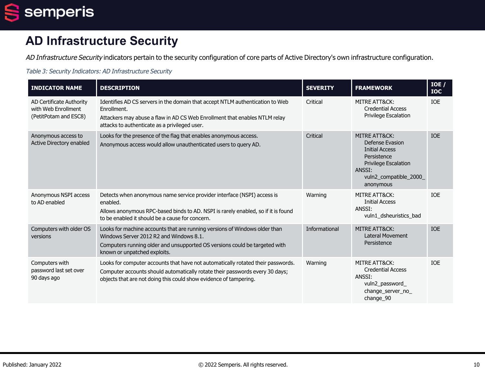

# **AD Infrastructure Security**

AD Infrastructure Security indicators pertain to the security configuration of core parts of Active Directory's own infrastructure configuration.

| <b>INDICATOR NAME</b>                                                    | <b>DESCRIPTION</b>                                                                                                                                                                                                                    | <b>SEVERITY</b> | <b>FRAMEWORK</b>                                                                                                                                         | IOE/<br><b>TOC</b> |
|--------------------------------------------------------------------------|---------------------------------------------------------------------------------------------------------------------------------------------------------------------------------------------------------------------------------------|-----------------|----------------------------------------------------------------------------------------------------------------------------------------------------------|--------------------|
| AD Certificate Authority<br>with Web Enrollment<br>(PetitPotam and ESC8) | Identifies AD CS servers in the domain that accept NTLM authentication to Web<br>Enrollment.<br>Attackers may abuse a flaw in AD CS Web Enrollment that enables NTLM relay<br>attacks to authenticate as a privileged user.           | Critical        | MITRE ATT&CK:<br><b>Credential Access</b><br><b>Privilege Escalation</b>                                                                                 | IOE                |
| Anonymous access to<br>Active Directory enabled                          | Looks for the presence of the flag that enables anonymous access.<br>Anonymous access would allow unauthenticated users to query AD.                                                                                                  | Critical        | MITRE ATT&CK:<br>Defense Evasion<br><b>Initial Access</b><br>Persistence<br><b>Privilege Escalation</b><br>ANSSI:<br>vuln2_compatible_2000_<br>anonymous | <b>IOE</b>         |
| Anonymous NSPI access<br>to AD enabled                                   | Detects when anonymous name service provider interface (NSPI) access is<br>enabled.<br>Allows anonymous RPC-based binds to AD. NSPI is rarely enabled, so if it is found<br>to be enabled it should be a cause for concern.           | Warning         | MITRE ATT&CK:<br><b>Initial Access</b><br>ANSSI:<br>vuln1_dsheuristics_bad                                                                               | <b>IOE</b>         |
| Computers with older OS<br>versions                                      | Looks for machine accounts that are running versions of Windows older than<br>Windows Server 2012 R2 and Windows 8.1.<br>Computers running older and unsupported OS versions could be targeted with<br>known or unpatched exploits.   | Informational   | <b>MITRE ATT&amp;CK:</b><br><b>Lateral Movement</b><br>Persistence                                                                                       | <b>IOE</b>         |
| Computers with<br>password last set over<br>90 days ago                  | Looks for computer accounts that have not automatically rotated their passwords.<br>Computer accounts should automatically rotate their passwords every 30 days;<br>objects that are not doing this could show evidence of tampering. | Warning         | MITRE ATT&CK:<br><b>Credential Access</b><br>ANSSI:<br>vuln2_password_<br>change_server_no_<br>change_90                                                 | <b>IOE</b>         |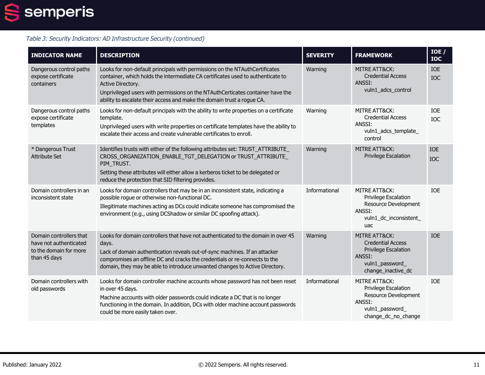

| <b>INDICATOR NAME</b>                                                                       | <b>DESCRIPTION</b>                                                                                                                                                                                                                                                                                                                              | <b>SEVERITY</b> | <b>FRAMEWORK</b>                                                                                                        | IOE /<br><b>IOC</b> |
|---------------------------------------------------------------------------------------------|-------------------------------------------------------------------------------------------------------------------------------------------------------------------------------------------------------------------------------------------------------------------------------------------------------------------------------------------------|-----------------|-------------------------------------------------------------------------------------------------------------------------|---------------------|
| Dangerous control paths<br>expose certificate<br>containers                                 | Looks for non-default principals with permissions on the NTAuthCertificates<br>container, which holds the intermediate CA certificates used to authenticate to<br>Active Directory.<br>Unprivileged users with permissions on the NTAuthCerticates container have the<br>ability to escalate their access and make the domain trust a rogue CA. | Warning         | <b>MITRE ATT&amp;CK:</b><br><b>Credential Access</b><br>ANSSI:<br>vuln1_adcs_control                                    | <b>IOE</b><br>IOC   |
| Dangerous control paths<br>expose certificate<br>templates                                  | Looks for non-default principals with the ability to write properties on a certificate<br>template.<br>Unprivileged users with write properties on certificate templates have the ability to<br>escalate their access and create vulnerable certificates to enroll.                                                                             | Warning         | MITRE ATT&CK:<br><b>Credential Access</b><br>ANSSI:<br>vuln1_adcs_template_<br>control                                  | <b>IOE</b><br>IOC   |
| * Dangerous Trust<br><b>Attribute Set</b>                                                   | Identifies trusts with either of the following attributes set: TRUST_ATTRIBUTE_<br>CROSS ORGANIZATION ENABLE TGT DELEGATION or TRUST ATTRIBUTE<br>PIM_TRUST.<br>Setting these attributes will either allow a kerberos ticket to be delegated or<br>reduce the protection that SID filtering provides.                                           | Warning         | MITRE ATT&CK:<br><b>Privilege Escalation</b>                                                                            | <b>IOE</b><br>IOC   |
| Domain controllers in an<br>inconsistent state                                              | Looks for domain controllers that may be in an inconsistent state, indicating a<br>possible rogue or otherwise non-functional DC.<br>Illegitimate machines acting as DCs could indicate someone has compromised the<br>environment (e.g., using DCShadow or similar DC spoofing attack).                                                        | Informational   | MITRE ATT&CK:<br><b>Privilege Escalation</b><br>Resource Development<br>ANSSI:<br>vuln1_dc_inconsistent_<br>uac         | IOE                 |
| Domain controllers that<br>have not authenticated<br>to the domain for more<br>than 45 days | Looks for domain controllers that have not authenticated to the domain in over 45<br>days.<br>Lack of domain authentication reveals out-of-sync machines. If an attacker<br>compromises an offline DC and cracks the credentials or re-connects to the<br>domain, they may be able to introduce unwanted changes to Active Directory.           | Warning         | MITRE ATT&CK:<br><b>Credential Access</b><br>Privilege Escalation<br>ANSSI:<br>vuln1_password<br>change inactive dc     | <b>IOE</b>          |
| Domain controllers with<br>old passwords                                                    | Looks for domain controller machine accounts whose password has not been reset<br>in over 45 days.<br>Machine accounts with older passwords could indicate a DC that is no longer<br>functioning in the domain. In addition, DCs with older machine account passwords<br>could be more easily taken over.                                       | Informational   | MITRE ATT&CK:<br><b>Privilege Escalation</b><br>Resource Development<br>ANSSI:<br>vuln1_password<br>change_dc_no_change | <b>IOE</b>          |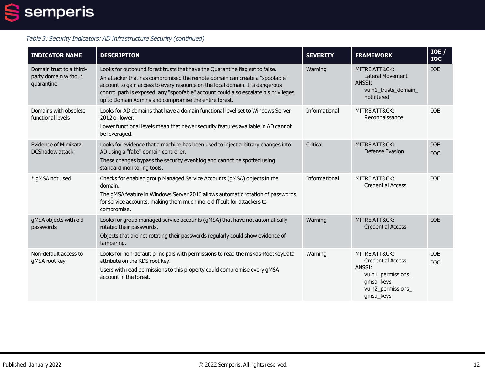

| <b>INDICATOR NAME</b>                                          | <b>DESCRIPTION</b>                                                                                                                                                                                                                                                                                                                                                                          | <b>SEVERITY</b> | <b>FRAMEWORK</b>                                                                                                                     | IOE /<br><b>IOC</b>      |
|----------------------------------------------------------------|---------------------------------------------------------------------------------------------------------------------------------------------------------------------------------------------------------------------------------------------------------------------------------------------------------------------------------------------------------------------------------------------|-----------------|--------------------------------------------------------------------------------------------------------------------------------------|--------------------------|
| Domain trust to a third-<br>party domain without<br>quarantine | Looks for outbound forest trusts that have the Quarantine flag set to false.<br>An attacker that has compromised the remote domain can create a "spoofable"<br>account to gain access to every resource on the local domain. If a dangerous<br>control path is exposed, any "spoofable" account could also escalate his privileges<br>up to Domain Admins and compromise the entire forest. | Warning         | <b>MITRE ATT&amp;CK:</b><br><b>Lateral Movement</b><br>ANSSI:<br>vuln1_trusts_domain_<br>notfiltered                                 | <b>TOE</b>               |
| Domains with obsolete<br>functional levels                     | Looks for AD domains that have a domain functional level set to Windows Server<br>2012 or lower.<br>Lower functional levels mean that newer security features available in AD cannot<br>be leveraged.                                                                                                                                                                                       | Informational   | MITRE ATT&CK:<br>Reconnaissance                                                                                                      | <b>IOE</b>               |
| <b>Evidence of Mimikatz</b><br><b>DCShadow attack</b>          | Looks for evidence that a machine has been used to inject arbitrary changes into<br>AD using a "fake" domain controller.<br>These changes bypass the security event log and cannot be spotted using<br>standard monitoring tools.                                                                                                                                                           | Critical        | <b>MITRE ATT&amp;CK:</b><br>Defense Evasion                                                                                          | <b>IOE</b><br><b>IOC</b> |
| * gMSA not used                                                | Checks for enabled group Managed Service Accounts (gMSA) objects in the<br>domain.<br>The gMSA feature in Windows Server 2016 allows automatic rotation of passwords<br>for service accounts, making them much more difficult for attackers to<br>compromise.                                                                                                                               | Informational   | MITRE ATT&CK:<br><b>Credential Access</b>                                                                                            | <b>IOE</b>               |
| gMSA objects with old<br>passwords                             | Looks for group managed service accounts (gMSA) that have not automatically<br>rotated their passwords.<br>Objects that are not rotating their passwords regularly could show evidence of<br>tampering.                                                                                                                                                                                     | Warning         | MITRE ATT&CK:<br><b>Credential Access</b>                                                                                            | <b>IOE</b>               |
| Non-default access to<br>gMSA root key                         | Looks for non-default principals with permissions to read the msKds-RootKeyData<br>attribute on the KDS root key.<br>Users with read permissions to this property could compromise every gMSA<br>account in the forest.                                                                                                                                                                     | Warning         | <b>MITRE ATT&amp;CK:</b><br><b>Credential Access</b><br>ANSSI:<br>vuln1_permissions_<br>gmsa_keys<br>vuln2_permissions_<br>gmsa_keys | IOE<br><b>IOC</b>        |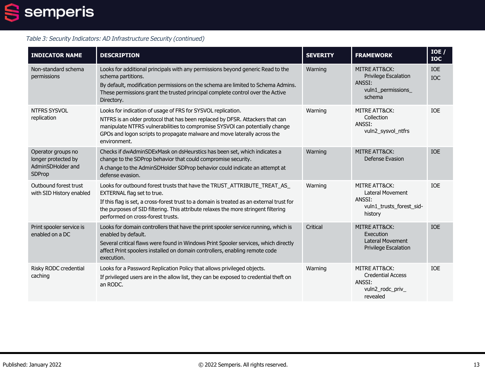## $\overline{\mathbf{2}}$ semperis

| <b>INDICATOR NAME</b>                                                    | <b>DESCRIPTION</b>                                                                                                                                                                                                                                                                                                             | <b>SEVERITY</b> | <b>FRAMEWORK</b>                                                                          | IOE /<br><b>IOC</b>      |
|--------------------------------------------------------------------------|--------------------------------------------------------------------------------------------------------------------------------------------------------------------------------------------------------------------------------------------------------------------------------------------------------------------------------|-----------------|-------------------------------------------------------------------------------------------|--------------------------|
| Non-standard schema<br>permissions                                       | Looks for additional principals with any permissions beyond generic Read to the<br>schema partitions.<br>By default, modification permissions on the schema are limited to Schema Admins.<br>These permissions grant the trusted principal complete control over the Active<br>Directory.                                      | Warning         | MITRE ATT&CK:<br><b>Privilege Escalation</b><br>ANSSI:<br>vuln1_permissions_<br>schema    | <b>IOE</b><br><b>IOC</b> |
| NTFRS SYSVOL<br>replication                                              | Looks for indication of usage of FRS for SYSVOL replication.<br>NTFRS is an older protocol that has been replaced by DFSR. Attackers that can<br>manipulate NTFRS vulnerabilities to compromise SYSVOI can potentially change<br>GPOs and logon scripts to propagate malware and move laterally across the<br>environment.     | Warning         | MITRE ATT&CK:<br>Collection<br>ANSSI:<br>vuln2_sysvol_ntfrs                               | <b>IOE</b>               |
| Operator groups no<br>longer protected by<br>AdminSDHolder and<br>SDProp | Checks if dwAdminSDExMask on dsHeurstics has been set, which indicates a<br>change to the SDProp behavior that could compromise security.<br>A change to the AdminSDHolder SDProp behavior could indicate an attempt at<br>defense evasion.                                                                                    | Warning         | MITRE ATT&CK:<br>Defense Evasion                                                          | <b>IOE</b>               |
| Outbound forest trust<br>with SID History enabled                        | Looks for outbound forest trusts that have the TRUST_ATTRIBUTE_TREAT_AS_<br>EXTERNAL flag set to true.<br>If this flag is set, a cross-forest trust to a domain is treated as an external trust for<br>the purposes of SID filtering. This attribute relaxes the more stringent filtering<br>performed on cross-forest trusts. | Warning         | MITRE ATT&CK:<br><b>Lateral Movement</b><br>ANSSI:<br>vuln1_trusts_forest_sid-<br>history | <b>TOF</b>               |
| Print spooler service is<br>enabled on a DC                              | Looks for domain controllers that have the print spooler service running, which is<br>enabled by default.<br>Several critical flaws were found in Windows Print Spooler services, which directly<br>affect Print spoolers installed on domain controllers, enabling remote code<br>execution.                                  | Critical        | <b>MITRE ATT&amp;CK:</b><br>Execution<br><b>Lateral Movement</b><br>Privilege Escalation  | <b>TOE</b>               |
| Risky RODC credential<br>caching                                         | Looks for a Password Replication Policy that allows privileged objects.<br>If privileged users are in the allow list, they can be exposed to credential theft on<br>an RODC.                                                                                                                                                   | Warning         | MITRE ATT&CK:<br><b>Credential Access</b><br>ANSSI:<br>vuln2_rodc_priv_<br>revealed       | <b>TOF</b>               |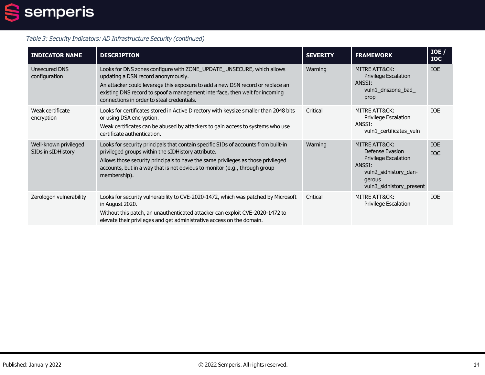

| <b>INDICATOR NAME</b>                       | <b>DESCRIPTION</b>                                                                                                                                                                                                                                                                                                         | <b>SEVERITY</b> | <b>FRAMEWORK</b>                                                                                                                         | IOE /<br><b>IOC</b>      |
|---------------------------------------------|----------------------------------------------------------------------------------------------------------------------------------------------------------------------------------------------------------------------------------------------------------------------------------------------------------------------------|-----------------|------------------------------------------------------------------------------------------------------------------------------------------|--------------------------|
| Unsecured DNS<br>configuration              | Looks for DNS zones configure with ZONE_UPDATE_UNSECURE, which allows<br>updating a DSN record anonymously.<br>An attacker could leverage this exposure to add a new DSN record or replace an<br>existing DNS record to spoof a management interface, then wait for incoming<br>connections in order to steal credentials. | Warning         | MITRE ATT&CK:<br><b>Privilege Escalation</b><br>ANSSI:<br>vuln1_dnszone_bad_<br>prop                                                     | <b>IOE</b>               |
| Weak certificate<br>encryption              | Looks for certificates stored in Active Directory with keysize smaller than 2048 bits<br>or using DSA encryption.<br>Weak certificates can be abused by attackers to gain access to systems who use<br>certificate authentication.                                                                                         | Critical        | MITRE ATT&CK:<br>Privilege Escalation<br>ANSSI:<br>vuln1_certificates_vuln                                                               | <b>IOE</b>               |
| Well-known privileged<br>SIDs in sIDHistory | Looks for security principals that contain specific SIDs of accounts from built-in<br>privileged groups within the sIDHistory attribute.<br>Allows those security principals to have the same privileges as those privileged<br>accounts, but in a way that is not obvious to monitor (e.g., through group<br>membership). | Warning         | MITRE ATT&CK:<br>Defense Evasion<br><b>Privilege Escalation</b><br>ANSSI:<br>vuln2 sidhistory dan-<br>gerous<br>vuln3_sidhistory_present | <b>IOE</b><br><b>IOC</b> |
| Zerologon vulnerability                     | Looks for security vulnerability to CVE-2020-1472, which was patched by Microsoft<br>in August 2020.<br>Without this patch, an unauthenticated attacker can exploit CVE-2020-1472 to<br>elevate their privileges and get administrative access on the domain.                                                              | Critical        | MITRE ATT&CK:<br>Privilege Escalation                                                                                                    | <b>IOE</b>               |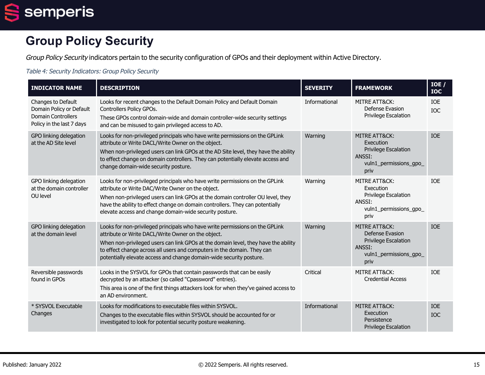semperis  $\blacksquare$ 

# **Group Policy Security**

Group Policy Security indicators pertain to the security configuration of GPOs and their deployment within Active Directory.

#### Table 4: Security Indicators: Group Policy Security

| <b>INDICATOR NAME</b>                                                                                    | <b>DESCRIPTION</b>                                                                                                                                                                                                                                                                                                                                                         | <b>SEVERITY</b> | <b>FRAMEWORK</b>                                                                                                       | IOE /<br><b>IOC</b>      |
|----------------------------------------------------------------------------------------------------------|----------------------------------------------------------------------------------------------------------------------------------------------------------------------------------------------------------------------------------------------------------------------------------------------------------------------------------------------------------------------------|-----------------|------------------------------------------------------------------------------------------------------------------------|--------------------------|
| Changes to Default<br>Domain Policy or Default<br><b>Domain Controllers</b><br>Policy in the last 7 days | Looks for recent changes to the Default Domain Policy and Default Domain<br>Controllers Policy GPOs.<br>These GPOs control domain-wide and domain controller-wide security settings<br>and can be misused to gain privileged access to AD.                                                                                                                                 | Informational   | MITRE ATT&CK:<br>Defense Evasion<br>Privilege Escalation                                                               | <b>IOE</b><br><b>IOC</b> |
| GPO linking delegation<br>at the AD Site level                                                           | Looks for non-privileged principals who have write permissions on the GPLink<br>attribute or Write DACL/Write Owner on the object.<br>When non-privileged users can link GPOs at the AD Site level, they have the ability<br>to effect change on domain controllers. They can potentially elevate access and<br>change domain-wide security posture.                       | Warning         | MITRE ATT&CK:<br>Execution<br><b>Privilege Escalation</b><br>ANSSI:<br>vuln1_permissions_gpo_<br>priv                  | <b>IOE</b>               |
| GPO linking delegation<br>at the domain controller<br>OU level                                           | Looks for non-privileged principals who have write permissions on the GPLink<br>attribute or Write DAC/Write Owner on the object.<br>When non-privileged users can link GPOs at the domain controller OU level, they<br>have the ability to effect change on domain controllers. They can potentially<br>elevate access and change domain-wide security posture.           | Warning         | MITRE ATT&CK:<br>Execution<br><b>Privilege Escalation</b><br>ANSSI:<br>vuln1_permissions_gpo_<br>priv                  | <b>IOE</b>               |
| GPO linking delegation<br>at the domain level                                                            | Looks for non-privileged principals who have write permissions on the GPLink<br>attribute or Write DACL/Write Owner on the object.<br>When non-privileged users can link GPOs at the domain level, they have the ability<br>to effect change across all users and computers in the domain. They can<br>potentially elevate access and change domain-wide security posture. | Warning         | <b>MITRE ATT&amp;CK:</b><br>Defense Evasion<br><b>Privilege Escalation</b><br>ANSSI:<br>vuln1_permissions_gpo_<br>priv | <b>TOE</b>               |
| Reversible passwords<br>found in GPOs                                                                    | Looks in the SYSVOL for GPOs that contain passwords that can be easily<br>decrypted by an attacker (so called "Cpassword" entries).<br>This area is one of the first things attackers look for when they've gained access to<br>an AD environment.                                                                                                                         | Critical        | MITRE ATT&CK:<br><b>Credential Access</b>                                                                              | <b>IOE</b>               |
| * SYSVOL Executable<br>Changes                                                                           | Looks for modifications to executable files within SYSVOL.<br>Changes to the executable files within SYSVOL should be accounted for or<br>investigated to look for potential security posture weakening.                                                                                                                                                                   | Informational   | <b>MITRE ATT&amp;CK:</b><br>Execution<br>Persistence<br><b>Privilege Escalation</b>                                    | <b>IOE</b><br><b>IOC</b> |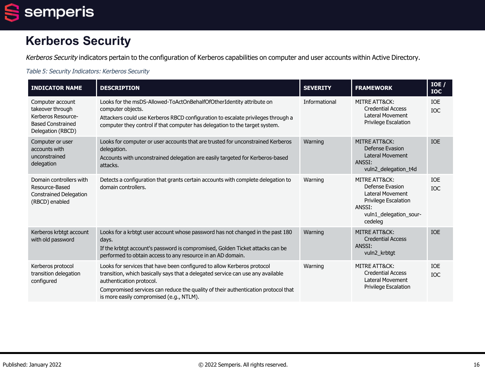

# **Kerberos Security**

Kerberos Security indicators pertain to the configuration of Kerberos capabilities on computer and user accounts within Active Directory.

#### Table 5: Security Indicators: Kerberos Security

| <b>INDICATOR NAME</b>                                                                                       | <b>DESCRIPTION</b>                                                                                                                                                                                                                                                                                                      | <b>SEVERITY</b> | <b>FRAMEWORK</b>                                                                                                            | IOE /<br><b>IOC</b>      |
|-------------------------------------------------------------------------------------------------------------|-------------------------------------------------------------------------------------------------------------------------------------------------------------------------------------------------------------------------------------------------------------------------------------------------------------------------|-----------------|-----------------------------------------------------------------------------------------------------------------------------|--------------------------|
| Computer account<br>takeover through<br>Kerberos Resource-<br><b>Based Constrained</b><br>Delegation (RBCD) | Looks for the msDS-Allowed-ToActOnBehalfOfOtherIdentity attribute on<br>computer objects.<br>Attackers could use Kerberos RBCD configuration to escalate privileges through a<br>computer they control if that computer has delegation to the target system.                                                            | Informational   | MITRE ATT&CK:<br><b>Credential Access</b><br>Lateral Movement<br>Privilege Escalation                                       | IOE<br>IOC               |
| Computer or user<br>accounts with<br>unconstrained<br>delegation                                            | Looks for computer or user accounts that are trusted for unconstrained Kerberos<br>delegation.<br>Accounts with unconstrained delegation are easily targeted for Kerberos-based<br>attacks.                                                                                                                             | Warning         | MITRE ATT&CK:<br>Defense Evasion<br><b>Lateral Movement</b><br>ANSSI:<br>vuln2 delegation t4d                               | <b>IOE</b>               |
| Domain controllers with<br>Resource-Based<br><b>Constrained Delegation</b><br>(RBCD) enabled                | Detects a configuration that grants certain accounts with complete delegation to<br>domain controllers.                                                                                                                                                                                                                 | Warning         | MITRE ATT&CK:<br>Defense Evasion<br>Lateral Movement<br>Privilege Escalation<br>ANSSI:<br>vuln1_delegation_sour-<br>cedeleg | <b>IOE</b><br><b>IOC</b> |
| Kerberos krbtgt account<br>with old password                                                                | Looks for a krbtgt user account whose password has not changed in the past 180<br>days.<br>If the krbtgt account's password is compromised, Golden Ticket attacks can be<br>performed to obtain access to any resource in an AD domain.                                                                                 | Warning         | <b>MITRE ATT&amp;CK:</b><br><b>Credential Access</b><br>ANSSI:<br>vuln2_krbtgt                                              | <b>IOE</b>               |
| Kerberos protocol<br>transition delegation<br>configured                                                    | Looks for services that have been configured to allow Kerberos protocol<br>transition, which basically says that a delegated service can use any available<br>authentication protocol.<br>Compromised services can reduce the quality of their authentication protocol that<br>is more easily compromised (e.g., NTLM). | Warning         | MITRE ATT&CK:<br><b>Credential Access</b><br><b>Lateral Movement</b><br><b>Privilege Escalation</b>                         | <b>IOE</b><br><b>IOC</b> |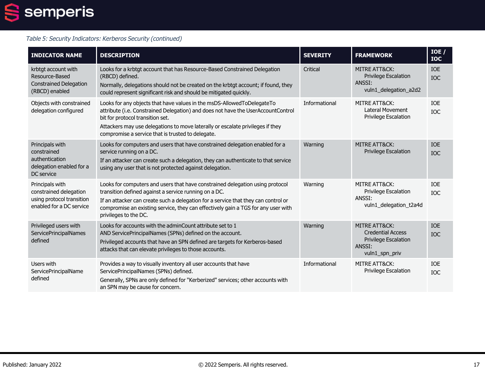## $\overline{\mathbf{2}}$ semperis

### Table 5: Security Indicators: Kerberos Security (continued)

| <b>INDICATOR NAME</b>                                                                              | <b>DESCRIPTION</b>                                                                                                                                                                                                                                                                                                                         | <b>SEVERITY</b> | <b>FRAMEWORK</b>                                                                                     | IOE<br><b>IOC</b>        |
|----------------------------------------------------------------------------------------------------|--------------------------------------------------------------------------------------------------------------------------------------------------------------------------------------------------------------------------------------------------------------------------------------------------------------------------------------------|-----------------|------------------------------------------------------------------------------------------------------|--------------------------|
| krbtgt account with<br>Resource-Based<br><b>Constrained Delegation</b><br>(RBCD) enabled           | Looks for a krbtgt account that has Resource-Based Constrained Delegation<br>(RBCD) defined.<br>Normally, delegations should not be created on the krbtgt account; if found, they<br>could represent significant risk and should be mitigated quickly.                                                                                     | Critical        | <b>MITRE ATT&amp;CK:</b><br>Privilege Escalation<br>ANSSI:<br>vuln1_delegation_a2d2                  | <b>IOE</b><br><b>IOC</b> |
| Objects with constrained<br>delegation configured                                                  | Looks for any objects that have values in the msDS-AllowedToDelegateTo<br>attribute (i.e. Constrained Delegation) and does not have the UserAccountControl<br>bit for protocol transition set.<br>Attackers may use delegations to move laterally or escalate privileges if they<br>compromise a service that is trusted to delegate.      | Informational   | MITRE ATT&CK:<br><b>Lateral Movement</b><br>Privilege Escalation                                     | <b>IOE</b><br><b>IOC</b> |
| Principals with<br>constrained<br>authentication<br>delegation enabled for a<br>DC service         | Looks for computers and users that have constrained delegation enabled for a<br>service running on a DC.<br>If an attacker can create such a delegation, they can authenticate to that service<br>using any user that is not protected against delegation.                                                                                 | Warning         | <b>MITRE ATT&amp;CK:</b><br>Privilege Escalation                                                     | <b>IOE</b><br><b>IOC</b> |
| Principals with<br>constrained delegation<br>using protocol transition<br>enabled for a DC service | Looks for computers and users that have constrained delegation using protocol<br>transition defined against a service running on a DC.<br>If an attacker can create such a delegation for a service that they can control or<br>compromise an existing service, they can effectively gain a TGS for any user with<br>privileges to the DC. | Warning         | MITRE ATT&CK:<br>Privilege Escalation<br>ANSSI:<br>vuln1_delegation_t2a4d                            | IOE<br><b>IOC</b>        |
| Privileged users with<br>ServicePrincipalNames<br>defined                                          | Looks for accounts with the adminCount attribute set to 1<br>AND ServicePrincipalNames (SPNs) defined on the account.<br>Privileged accounts that have an SPN defined are targets for Kerberos-based<br>attacks that can elevate privileges to those accounts.                                                                             | Warning         | MITRE ATT&CK:<br><b>Credential Access</b><br><b>Privilege Escalation</b><br>ANSSI:<br>vuln1_spn_priv | <b>IOE</b><br><b>IOC</b> |
| Users with<br>ServicePrincipalName<br>defined                                                      | Provides a way to visually inventory all user accounts that have<br>ServicePrincipalNames (SPNs) defined.<br>Generally, SPNs are only defined for "Kerberized" services; other accounts with<br>an SPN may be cause for concern.                                                                                                           | Informational   | MITRE ATT&CK:<br>Privilege Escalation                                                                | IOE<br><b>IOC</b>        |